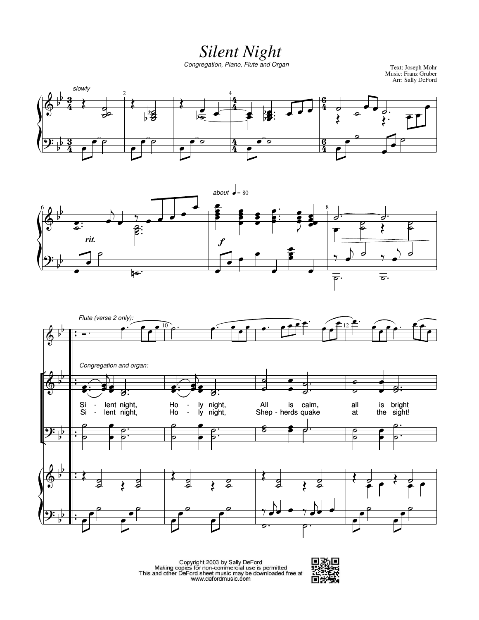*Silent Night*

*Congregation, Piano, Flute and Organ*

Text: Joseph Mohr Music: Franz Gruber Arr: Sally DeFord







Copyright 2003 by Sally DeFord<br>Making copies for non-commercial use is permitted<br>This and other DeFord sheet music may be downloaded free at<br>www.defordmusic.com

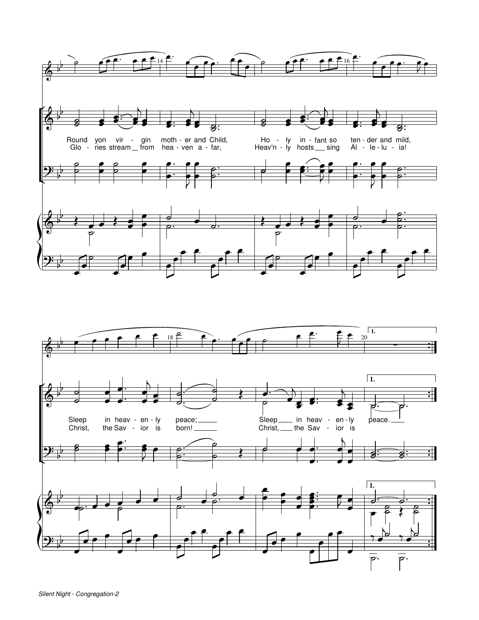

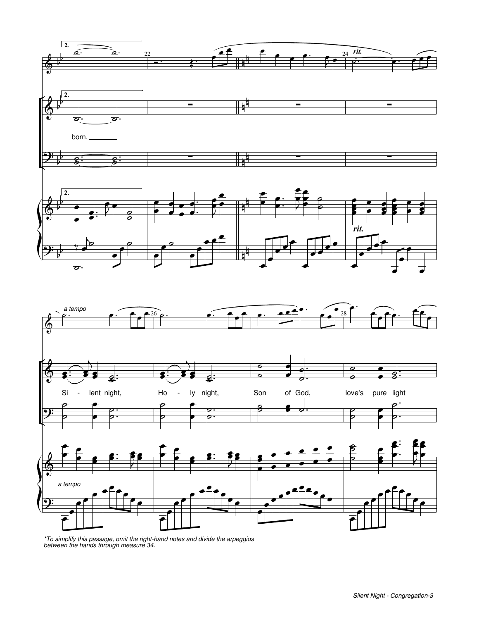

*\*To simplify this passage, omit the right-hand notes and divide the arpeggios between the hands through measure 34.*